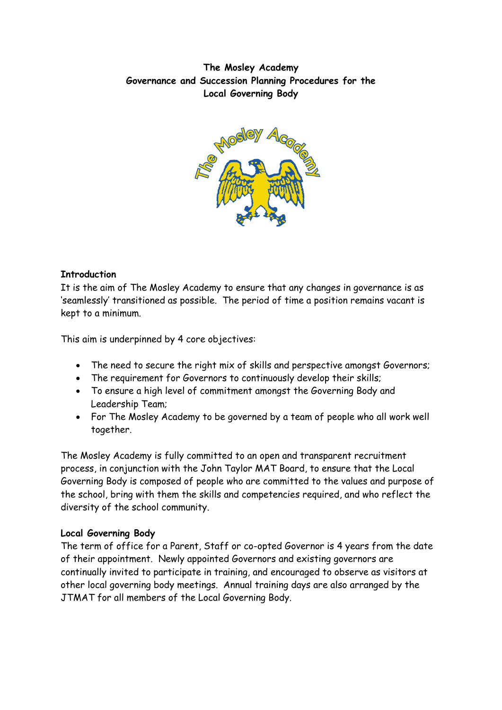# **The Mosley Academy Governance and Succession Planning Procedures for the Local Governing Body**



# **Introduction**

It is the aim of The Mosley Academy to ensure that any changes in governance is as 'seamlessly' transitioned as possible. The period of time a position remains vacant is kept to a minimum.

This aim is underpinned by 4 core objectives:

- The need to secure the right mix of skills and perspective amongst Governors;
- The requirement for Governors to continuously develop their skills;
- To ensure a high level of commitment amongst the Governing Body and Leadership Team;
- For The Mosley Academy to be governed by a team of people who all work well together.

The Mosley Academy is fully committed to an open and transparent recruitment process, in conjunction with the John Taylor MAT Board, to ensure that the Local Governing Body is composed of people who are committed to the values and purpose of the school, bring with them the skills and competencies required, and who reflect the diversity of the school community.

### **Local Governing Body**

The term of office for a Parent, Staff or co-opted Governor is 4 years from the date of their appointment. Newly appointed Governors and existing governors are continually invited to participate in training, and encouraged to observe as visitors at other local governing body meetings. Annual training days are also arranged by the JTMAT for all members of the Local Governing Body.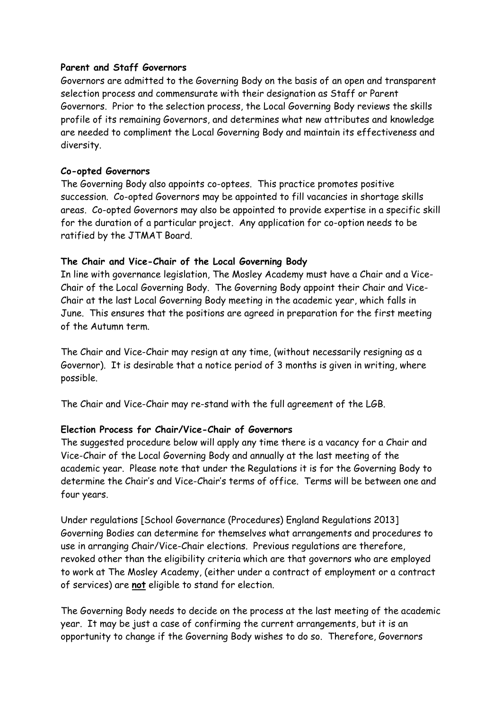#### **Parent and Staff Governors**

Governors are admitted to the Governing Body on the basis of an open and transparent selection process and commensurate with their designation as Staff or Parent Governors. Prior to the selection process, the Local Governing Body reviews the skills profile of its remaining Governors, and determines what new attributes and knowledge are needed to compliment the Local Governing Body and maintain its effectiveness and diversity.

#### **Co-opted Governors**

The Governing Body also appoints co-optees. This practice promotes positive succession. Co-opted Governors may be appointed to fill vacancies in shortage skills areas. Co-opted Governors may also be appointed to provide expertise in a specific skill for the duration of a particular project. Any application for co-option needs to be ratified by the JTMAT Board.

### **The Chair and Vice-Chair of the Local Governing Body**

In line with governance legislation, The Mosley Academy must have a Chair and a Vice-Chair of the Local Governing Body. The Governing Body appoint their Chair and Vice-Chair at the last Local Governing Body meeting in the academic year, which falls in June. This ensures that the positions are agreed in preparation for the first meeting of the Autumn term.

The Chair and Vice-Chair may resign at any time, (without necessarily resigning as a Governor). It is desirable that a notice period of 3 months is given in writing, where possible.

The Chair and Vice-Chair may re-stand with the full agreement of the LGB.

### **Election Process for Chair/Vice-Chair of Governors**

The suggested procedure below will apply any time there is a vacancy for a Chair and Vice-Chair of the Local Governing Body and annually at the last meeting of the academic year. Please note that under the Regulations it is for the Governing Body to determine the Chair's and Vice-Chair's terms of office. Terms will be between one and four years.

Under regulations [School Governance (Procedures) England Regulations 2013] Governing Bodies can determine for themselves what arrangements and procedures to use in arranging Chair/Vice-Chair elections. Previous regulations are therefore, revoked other than the eligibility criteria which are that governors who are employed to work at The Mosley Academy, (either under a contract of employment or a contract of services) are **not** eligible to stand for election.

The Governing Body needs to decide on the process at the last meeting of the academic year. It may be just a case of confirming the current arrangements, but it is an opportunity to change if the Governing Body wishes to do so. Therefore, Governors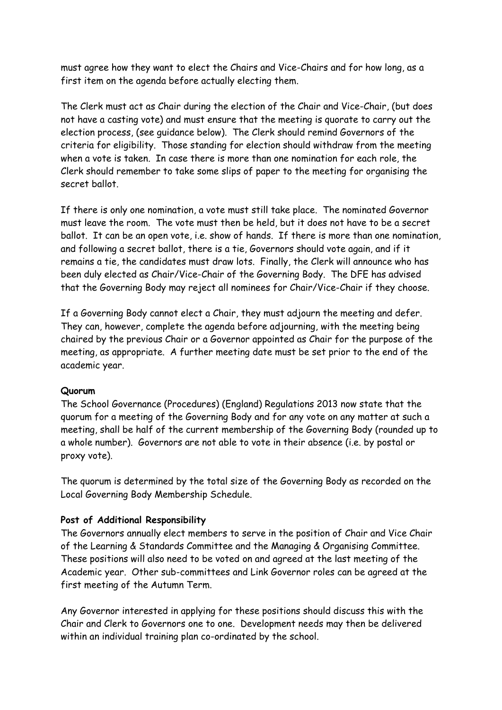must agree how they want to elect the Chairs and Vice-Chairs and for how long, as a first item on the agenda before actually electing them.

The Clerk must act as Chair during the election of the Chair and Vice-Chair, (but does not have a casting vote) and must ensure that the meeting is quorate to carry out the election process, (see guidance below). The Clerk should remind Governors of the criteria for eligibility. Those standing for election should withdraw from the meeting when a vote is taken. In case there is more than one nomination for each role, the Clerk should remember to take some slips of paper to the meeting for organising the secret ballot.

If there is only one nomination, a vote must still take place. The nominated Governor must leave the room. The vote must then be held, but it does not have to be a secret ballot. It can be an open vote, i.e. show of hands. If there is more than one nomination, and following a secret ballot, there is a tie, Governors should vote again, and if it remains a tie, the candidates must draw lots. Finally, the Clerk will announce who has been duly elected as Chair/Vice-Chair of the Governing Body. The DFE has advised that the Governing Body may reject all nominees for Chair/Vice-Chair if they choose.

If a Governing Body cannot elect a Chair, they must adjourn the meeting and defer. They can, however, complete the agenda before adjourning, with the meeting being chaired by the previous Chair or a Governor appointed as Chair for the purpose of the meeting, as appropriate. A further meeting date must be set prior to the end of the academic year.

### **Quorum**

The School Governance (Procedures) (England) Regulations 2013 now state that the quorum for a meeting of the Governing Body and for any vote on any matter at such a meeting, shall be half of the current membership of the Governing Body (rounded up to a whole number). Governors are not able to vote in their absence (i.e. by postal or proxy vote).

The quorum is determined by the total size of the Governing Body as recorded on the Local Governing Body Membership Schedule.

#### **Post of Additional Responsibility**

The Governors annually elect members to serve in the position of Chair and Vice Chair of the Learning & Standards Committee and the Managing & Organising Committee. These positions will also need to be voted on and agreed at the last meeting of the Academic year. Other sub-committees and Link Governor roles can be agreed at the first meeting of the Autumn Term.

Any Governor interested in applying for these positions should discuss this with the Chair and Clerk to Governors one to one. Development needs may then be delivered within an individual training plan co-ordinated by the school.